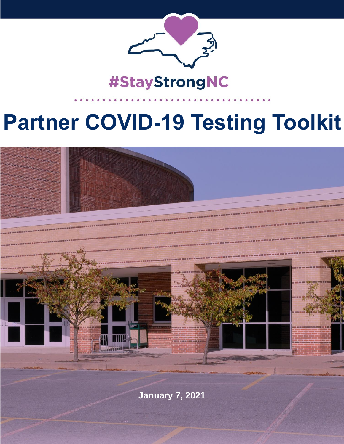

# #StayStrongNC

# **Partner COVID-19 Testing Toolkit**



**January 7, 2021**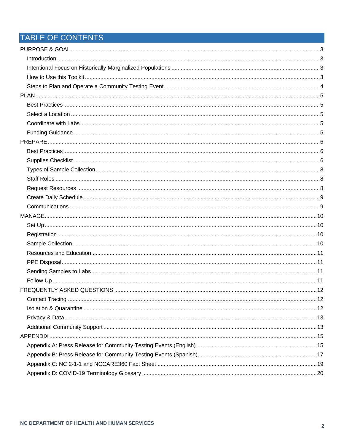## TABLE OF CONTENTS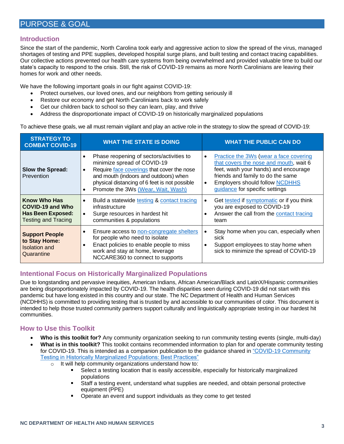#### <span id="page-2-1"></span><span id="page-2-0"></span>**Introduction**

Since the start of the pandemic, North Carolina took early and aggressive action to slow the spread of the virus, managed shortages of testing and PPE supplies, developed hospital surge plans, and built testing and contact tracing capabilities. Our collective actions prevented our health care systems from being overwhelmed and provided valuable time to build our state's capacity to respond to the crisis. Still, the risk of COVID-19 remains as more North Carolinians are leaving their homes for work and other needs.

We have the following important goals in our fight against COVID-19:

- Protect ourselves, our loved ones, and our neighbors from getting seriously ill
- Restore our economy and get North Carolinians back to work safely
- Get our children back to school so they can learn, play, and thrive
- Address the disproportionate impact of COVID-19 on historically marginalized populations

To achieve these goals, we all must remain vigilant and play an active role in the strategy to slow the spread of COVID-19:

| <b>STRATEGY TO</b><br><b>COMBAT COVID-19</b>                                               | <b>WHAT THE STATE IS DOING</b>                                                                                                                                                                                                                                                  | <b>WHAT THE PUBLIC CAN DO</b>                                                                                                                                                                                                                                      |
|--------------------------------------------------------------------------------------------|---------------------------------------------------------------------------------------------------------------------------------------------------------------------------------------------------------------------------------------------------------------------------------|--------------------------------------------------------------------------------------------------------------------------------------------------------------------------------------------------------------------------------------------------------------------|
| Slow the Spread:<br>Prevention                                                             | Phase reopening of sectors/activities to<br>minimize spread of COVID-19<br>Require face coverings that cover the nose<br>$\bullet$<br>and mouth (indoors and outdoors) when<br>physical distancing of 6 feet is not possible<br>Promote the 3Ws (Wear, Wait, Wash)<br>$\bullet$ | Practice the 3Ws (wear a face covering<br>$\bullet$<br>that covers the nose and mouth, wait 6<br>feet, wash your hands) and encourage<br>friends and family to do the same<br><b>Employers should follow NCDHHS</b><br>$\bullet$<br>guidance for specific settings |
| <b>Know Who Has</b><br>COVID-19 and Who<br>Has Been Exposed:<br><b>Testing and Tracing</b> | Build a statewide testing & contact tracing<br>infrastructure<br>Surge resources in hardest hit<br>communities & populations                                                                                                                                                    | Get tested if symptomatic or if you think<br>you are exposed to COVID-19<br>Answer the call from the contact tracing<br>$\bullet$<br>team                                                                                                                          |
| <b>Support People</b><br>to Stay Home:<br><b>Isolation and</b><br>Quarantine               | Ensure access to <u>non-congregate</u> shelters<br>for people who need to isolate<br>Enact policies to enable people to miss<br>$\bullet$<br>work and stay at home, leverage<br>NCCARE360 to connect to supports                                                                | Stay home when you can, especially when<br>sick<br>Support employees to stay home when<br>$\bullet$<br>sick to minimize the spread of COVID-19                                                                                                                     |

#### <span id="page-2-2"></span>**Intentional Focus on Historically Marginalized Populations**

Due to longstanding and pervasive inequities, American Indians, African American/Black and LatinX/Hispanic communities are being disproportionately impacted by COVID-19. The health disparities seen during COVID-19 did not start with this pandemic but have long existed in this country and our state. The NC Department of Health and Human Services (NCDHHS) is committed to providing testing that is trusted by and accessible to our communities of color. This document is intended to help those trusted community partners support culturally and linguistically appropriate testing in our hardest hit communities.

#### <span id="page-2-3"></span>**How to Use this Toolkit**

- **Who is this toolkit for?** Any community organization seeking to run community testing events (single, multi-day)
- **What is in this toolkit?** This toolkit contains recommended information to plan for and operate community testing for COVID-19. This is intended as a companion publication to the guidance shared in ["COVID-19 Community](https://files.nc.gov/covid/documents/Community-Testing-Guidance.pdf)  [Testing in Historically Marginalized Populations: Best Practices"](https://files.nc.gov/covid/documents/Community-Testing-Guidance.pdf)
	- o It will help community organizations understand how to:
		- Select a testing location that is easily accessible, especially for historically marginalized populations
		- $\blacksquare$ Staff a testing event, understand what supplies are needed, and obtain personal protective equipment (PPE)
		- $\blacksquare$ Operate an event and support individuals as they come to get tested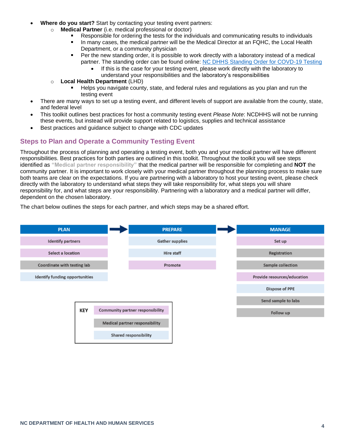- **Where do you start?** Start by contacting your testing event partners:
	- o **Medical Partner** (i.e. medical professional or doctor)
		- Responsible for ordering the tests for the individuals and communicating results to individuals
			- $\blacksquare$ In many cases, the medical partner will be the Medical Director at an FQHC, the Local Health Department, or a community physician
		- Per the new standing order, it is possible to work directly with a laboratory instead of a medical partner. The standing order can be found online: [NC DHHS Standing Order for COVD-19 Testing](https://files.nc.gov/covid/documents/guidance/healthcare/COVID-19-Statewide-Standing-Order.pdf)
			- If this is the case for your testing event, please work directly with the laboratory to
				- understand your responsibilities and the laboratory's responsibilities
	- o **Local Health Department** (LHD)
		- Helps you navigate county, state, and federal rules and regulations as you plan and run the testing event
- There are many ways to set up a testing event, and different levels of support are available from the county, state, and federal level
- This toolkit outlines best practices for host a community testing event *Please Note*: NCDHHS will not be running these events, but instead will provide support related to logistics, supplies and technical assistance
- Best practices and guidance subject to change with CDC updates

#### <span id="page-3-0"></span>**Steps to Plan and Operate a Community Testing Event**

Throughout the process of planning and operating a testing event, both you and your medical partner will have different responsibilities. Best practices for both parties are outlined in this toolkit. Throughout the toolkit you will see steps identified as **"Medical partner responsibility"** that the medical partner will be responsible for completing and **NOT** the community partner. It is important to work closely with your medical partner throughout the planning process to make sure both teams are clear on the expectations. If you are partnering with a laboratory to host your testing event, please check directly with the laboratory to understand what steps they will take responsibility for, what steps you will share responsibility for, and what steps are your responsibility. Partnering with a laboratory and a medical partner will differ, dependent on the chosen laboratory.

The chart below outlines the steps for each partner, and which steps may be a shared effort.

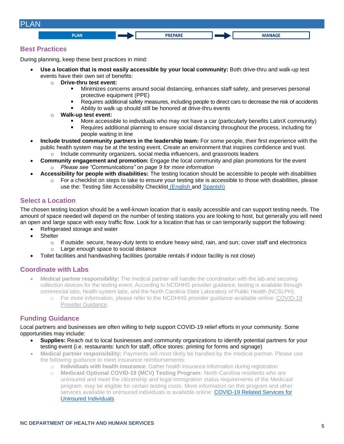<span id="page-4-0"></span>

#### <span id="page-4-1"></span>**Best Practices**

During planning, keep these best practices in mind:

- **Use a location that is most easily accessible by your local community:** Both drive-thru and walk-up test events have their own set of benefits:
	- o **Drive-thru test event:**
		- Minimizes concerns around social distancing, enhances staff safety, and preserves personal protective equipment (PPE)
		- Requires additional safety measures, including people to direct cars to decrease the risk of accidents
		- Ability to walk up should still be honored at drive-thru events
	- o **Walk-up test event:**
		- More accessible to individuals who may not have a car (particularly benefits LatinX community)
		- Requires additional planning to ensure social distancing throughout the process, including for people waiting in line
- **Include trusted community partners in the leadership team:** For some people, their first experience with the public health system may be at the testing event. Create an environment that inspires confidence and trust.
	- $\circ$  Include community organizers, social media influencers, and grassroots leaders
- **Community engagement and promotion:** Engage the local community and plan promotions for the event o *Please see "Communications" on page 9 for more information*
	- **Accessibility for people with disabilities:** The testing location should be accessible to people with disabilities
		- $\circ$  For a checklist on steps to take to ensure your testing site is accessible to those with disabilities, please use the: Testing Site Accessibility Checklist [\(English](https://files.nc.gov/covid/documents/about/testing/COVID-19-Testing-Site-Accessibility-Checklist.pdf) and [Spanish\)](https://files.nc.gov/covid/documents/about/testing/COVID-19-Testing-Site-Accessibility-Checklist-Spanish.pdf)

#### <span id="page-4-2"></span>**Select a Location**

The chosen testing location should be a well-known location that is easily accessible and can support testing needs. The amount of space needed will depend on the number of testing stations you are looking to host, but generally you will need an open and large space with easy traffic flow. Look for a location that has or can temporarily support the following:

- Refrigerated storage and water
- Shelter
	- $\circ$  If outside: secure, heavy-duty tents to endure heavy wind, rain, and sun; cover staff and electronics
	- o Large enough space to social distance
- Toilet facilities and handwashing facilities (portable rentals if indoor facility is not close)

#### <span id="page-4-3"></span>**Coordinate with Labs**

- **Medical partner responsibility:** The medical partner will handle the coordination with the lab and securing collection devices for the testing event. According to NCDHHS provider guidance, testing is available through commercial labs, health system labs, and the North Carolina State Laboratory of Public Health (NCSLPH).
	- o For more information, please refer to the NCDHHS provider guidance available online: [COVID-19](https://files.nc.gov/covid/documents/guidance/healthcare/COVID-19-Provider-Guidance-Final.pdf)  [Provider Guidance.](https://files.nc.gov/covid/documents/guidance/healthcare/COVID-19-Provider-Guidance-Final.pdf)

#### <span id="page-4-4"></span>**Funding Guidance**

Local partners and businesses are often willing to help support COVID-19 relief efforts in your community. Some opportunities may include:

- **Supplies:** Reach out to local businesses and community organizations to identify potential partners for your testing event (i.e. restaurants: lunch for staff, office stores: printing for forms and signage)
- **Medical partner responsibility:** Payments will most likely be handled by the medical partner. Please use the following guidance to meet insurance reimbursements:
	- o **Individuals with health insurance**: Gather health insurance information during registration
	- o **Medicaid Optional COVID-19 (MCV) Testing Program:** North Carolina residents who are uninsured and meet the citizenship and legal immigration status requirements of the Medicaid program. may be eligible for certain testing costs. More information on this program and other services available to uninsured individuals is available online: COVID-19 Related Services for [Uninsured Individuals](https://medicaid.ncdhhs.gov/about-us/covid-19-guidance-and-resources/providers/covid-19-related-services-uninsured-individuals)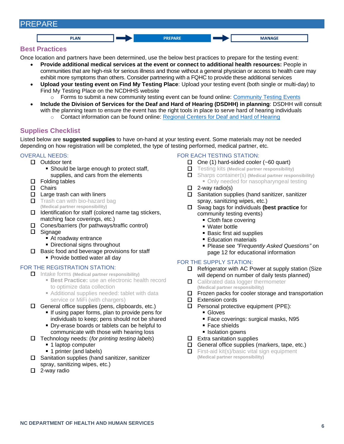#### <span id="page-5-0"></span>PREPARE **PLAN PREPARE MANAGE**

#### <span id="page-5-1"></span>**Best Practices**

Once location and partners have been determined, use the below best practices to prepare for the testing event:

- **Provide additional medical services at the event or connect to additional health resources:** People in communities that are high-risk for serious illness and those without a general physician or access to health care may exhibit more symptoms than others. Consider partnering with a FQHC to provide these additional services
- **Upload your testing event on Find My Testing Place**: Upload your testing event (both single or multi-day) to Find My Testing Place on the NCDHHS website
	- $\circ$  Forms to submit a new community testing event can be found online: [Community Testing Events](https://covid19.ncdhhs.gov/about-covid-19/testing/find-my-testing-place/pop-testing-sites)
- **Include the Division of Services for the Deaf and Hard of Hearing (DSDHH) in planning**: DSDHH will consult with the planning team to ensure the event has the right tools in place to serve hard of hearing individuals
	- $\circ$  Contact information can be found online: [Regional Centers for Deaf and Hard of Hearing](https://www.ncdhhs.gov/assistance/hearing-loss/regional-centers-for-the-deaf-hard-of-hearing)

#### <span id="page-5-2"></span>**Supplies Checklist**

Listed below are **suggested supplies** to have on-hand at your testing event. Some materials may not be needed depending on how registration will be completed, the type of testing performed, medical partner, etc.

#### OVERALL NEEDS:

- □ Outdoor tent
	- **Should be large enough to protect staff,** supplies, and cars from the elements
	- Folding tables
	- □ Chairs
	- Large trash can with liners
	- $\Box$  Trash can with bio-hazard bag
	- **(Medical partner responsibility)**
- $\Box$  Identification for staff (colored name tag stickers, matching face coverings, etc.)
- Cones/barriers (for pathways/traffic control) Signage
	- At roadway entrance
		- **Directional signs throughout**
- $\square$  Basic food and beverage provisions for staff • Provide bottled water all day

#### FOR THE REGISTRATION STATION:

- Intake forms **(Medical partner responsibility)**
	- **Best Practice:** use an electronic health record to optimize data collection
	- **Additional supplies needed: tablet with data** service or MiFi (with chargers)
- $\Box$  General office supplies (pens, clipboards, etc.)
	- **If using paper forms, plan to provide pens for** individuals to keep; pens should not be shared
	- **Dry-erase boards or tablets can be helpful to** communicate with those with hearing loss
- Technology needs: (*for printing testing labels*)
	- 1 laptop computer
	- **1** printer (and labels)
- $\square$  Sanitation supplies (hand sanitizer, sanitizer spray, sanitizing wipes, etc.)
- □ 2-way radio

#### FOR EACH TESTING STATION:

- $\Box$  One (1) hard-sided cooler (~60 quart)
- Testing kits **(Medical partner responsibility)**
- Sharps container(s) **(Medical partner responsibility)** • Only needed for nasopharyngeal testing
- $\Box$  2-way radio(s)
- $\square$  Sanitation supplies (hand sanitizer, sanitizer spray, sanitizing wipes, etc.)
- Swag bags for individuals **(best practice** for community testing events)
	- Cloth face covering
	- Water bottle
	- **Basic first aid supplies**
	- **Education materials**
	- Please see *"Frequently Asked Questions"* on page 12 for educational information

#### FOR THE SUPPLY STATION:

- $\Box$  Refrigerator with AC Power at supply station (Size will depend on number of daily tests planned)
- $\Box$  Calibrated data logger thermometer **(Medical partner responsibility)**
- $\square$  Frozen packs for cooler storage and transportation
- □ Extension cords
- $\square$  Personal protective equipment (PPE):
	- Gloves
	- Face coverings: surgical masks, N95
	- Face shields
	- **Isolation gowns**
- $\square$  Extra sanitation supplies
- $\Box$  General office supplies (markers, tape, etc.)
- $\Box$  First-aid kit(s)/basic vital sign equipment **(Medical partner responsibility)**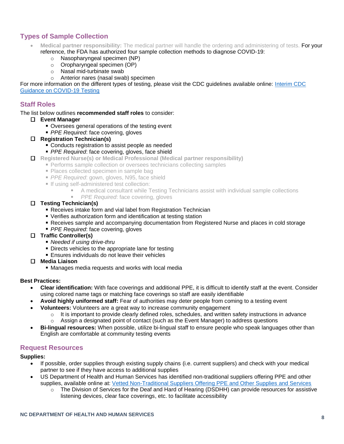#### <span id="page-6-0"></span>**Types of Sample Collection**

- **Medical partner responsibility:** The medical partner will handle the ordering and administering of tests. For your reference, the FDA has authorized four sample collection methods to diagnose COVID-19:
	- o Nasopharyngeal specimen (NP)
	- o Oropharyngeal specimen (OP)
	- o Nasal mid-turbinate swab
	- o Anterior nares (nasal swab) specimen

For more information on the different types of testing, please visit the CDC guidelines available online: [Interim CDC](https://www.cdc.gov/coronavirus/2019-ncov/lab/guidelines-clinical-specimens.html)  [Guidance on COVID-19 Testing](https://www.cdc.gov/coronavirus/2019-ncov/lab/guidelines-clinical-specimens.html)

#### <span id="page-6-1"></span>**Staff Roles**

The list below outlines **recommended staff roles** to consider:

- **Event Manager**
	- Oversees general operations of the testing event
	- *PPE Required*: face covering, gloves
- **Registration Technician(s)**
	- **Conducts registration to assist people as needed**
	- *PPE Required*: face covering, gloves, face shield
- **Registered Nurse(s) or Medical Professional (Medical partner responsibility)**
	- **Performs sample collection or oversees technicians collecting samples** 
		- **Places collected specimen in sample bage**
		- *PPE Required*: gown, gloves, N95, face shield
		- If using self-administered test collection:
			- A medical consultant while Testing Technicians assist with individual sample collections
			- **PPE Required: face covering, gloves**

#### **Testing Technician(s)**

- Receives intake form and vial label from Registration Technician
- Verifies authorization form and identification at testing station
- Receives sample and accompanying documentation from Registered Nurse and places in cold storage
- **PPE Required: face covering, gloves**

#### **Traffic Controller(s)**

- *Needed if using drive-thru*
- **Directs vehicles to the appropriate lane for testing**
- **Ensures individuals do not leave their vehicles**
- **Media Liaison**
	- Manages media requests and works with local media

#### **Best Practices:**

- **Clear identification:** With face coverings and additional PPE, it is difficult to identify staff at the event. Consider using colored name tags or matching face coverings so staff are easily identifiable
- **Avoid highly uniformed staff:** Fear of authorities may deter people from coming to a testing event
- **Volunteers:** Volunteers are a great way to increase community engagement
	- o It is important to provide clearly defined roles, schedules, and written safety instructions in advance
	- o Assign a designated point of contact (such as the Event Manager) to address questions
- **Bi-lingual resources:** When possible, utilize bi-lingual staff to ensure people who speak languages other than English are comfortable at community testing events

#### <span id="page-6-2"></span>**Request Resources**

#### **Supplies:**

- If possible, order supplies through existing supply chains (i.e. current suppliers) and check with your medical partner to see if they have access to additional supplies
- US Department of Health and Human Services has identified non-traditional suppliers offering PPE and other supplies, available online at: [Vetted Non-Traditional Suppliers Offering PPE and Other Supplies and Services](https://asprtracie.hhs.gov/technical-resources/resource/8583/vetted-non-traditional-suppliers-offering-ppe-and-other-supplies-and-services)
	- $\circ$  The Division of Services for the Deaf and Hard of Hearing (DSDHH) can provide resources for assistive listening devices, clear face coverings, etc. to facilitate accessibility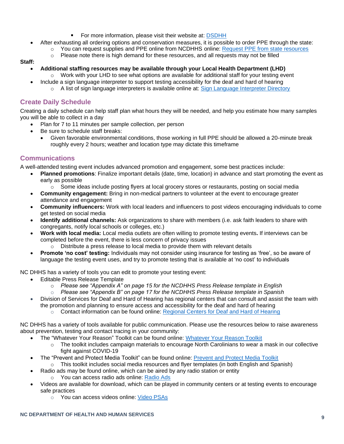- For more information, please visit their website at: [DSDHH](https://www.ncdhhs.gov/divisions/dsdhh)
- After exhausting all ordering options and conservation measures, it is possible to order PPE through the state:
	- o You can request supplies and PPE online from NCDHHS online: [Request PPE from state resources](https://covid19.ncdhhs.gov/information/health-care/requesting-ppe)
	- o Please note there is high demand for these resources, and all requests may not be filled

#### **Staff:**

- **Additional staffing resources may be available through your Local Health Department (LHD)** Work with your LHD to see what options are available for additional staff for your testing event
	- Include a sign language interpreter to support testing accessibility for the deaf and hard of hearing o A list of sign language interpreters is available online at: [Sign Language Interpreter Directory](https://www.ncdhhs.gov/documents/sign-language-interpretertransliterator-directory)

#### <span id="page-7-0"></span>**Create Daily Schedule**

Creating a daily schedule can help staff plan what hours they will be needed, and help you estimate how many samples you will be able to collect in a day

- Plan for 7 to 11 minutes per sample collection, per person
- Be sure to schedule staff breaks:
	- Given favorable environmental conditions, those working in full PPE should be allowed a 20-minute break roughly every 2 hours; weather and location type may dictate this timeframe

#### <span id="page-7-1"></span>**Communications**

A well-attended testing event includes advanced promotion and engagement, some best practices include:

- **Planned promotions**: Finalize important details (date, time, location) in advance and start promoting the event as early as possible
	- $\circ$  Some ideas include posting flyers at local grocery stores or restaurants, posting on social media
- **Community engagement:** Bring in non-medical partners to volunteer at the event to encourage greater attendance and engagement
- **Community influencers:** Work with local leaders and influencers to post videos encouraging individuals to come get tested on social media
- **Identify additional channels:** Ask organizations to share with members (i.e. ask faith leaders to share with congregants, notify local schools or colleges, etc.)
- **Work with local media:** Local media outlets are often willing to promote testing events**.** If interviews can be completed before the event, there is less concern of privacy issues
	- $\circ$  Distribute a press release to local media to provide them with relevant details
- **Promote 'no cost' testing:** Individuals may not consider using insurance for testing as 'free', so be aware of language the testing event uses, and try to promote testing that is available at 'no cost' to individuals

NC DHHS has a variety of tools you can edit to promote your testing event:

- Editable Press Release Template
	- o *Please see "Appendix A" on page 15 for the NCDHHS Press Release template in English*
	- o *Please see "Appendix B" on page 17 for the NCDHHS Press Release template in Spanish*
- Division of Services for Deaf and Hard of Hearing has regional centers that can consult and assist the team with the promotion and planning to ensure access and accessibility for the deaf and hard of hearing
	- o Contact information can be found online: [Regional Centers for Deaf and Hard of Hearing](https://www.ncdhhs.gov/assistance/hearing-loss/regional-centers-for-the-deaf-hard-of-hearing)

NC DHHS has a variety of tools available for public communication. Please use the resources below to raise awareness about prevention, testing and contact tracing in your community:

- The "Whatever Your Reason" Toolkit can be found online: [Whatever Your Reason Toolkit](https://covid19.ncdhhs.gov/materials-resources/whatever-your-reason)
	- $\circ$  The toolkit includes campaign materials to encourage North Carolinians to wear a mask in our collective fight against COVID-19
- The "Prevent and Protect Media Toolkit" can be found online: [Prevent and Protect Media Toolkit](https://covid19.ncdhhs.gov/materials-resources/prevent-and-protect-media-toolkit)
	- $\circ$  This toolkit includes social media resources and flyer templates (in both English and Spanish)
- Radio ads may be found online, which can be aired by any radio station or entity o You can access radio ads online: [Radio Ads](https://covid19.ncdhhs.gov/materials-resources#radio-ads)
- Videos are available for download, which can be played in community centers or at testing events to encourage safe practices
	- o You can access videos online: [Video PSAs](https://covid19.ncdhhs.gov/materials-resources#video-psas)

#### **NC DEPARTMENT OF HEALTH AND HUMAN SERVICES <sup>9</sup>**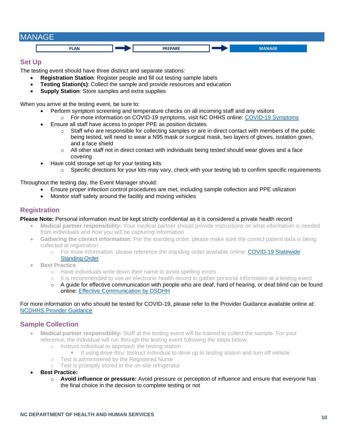<span id="page-8-0"></span>

#### <span id="page-8-1"></span>**Set Up**

The testing event should have three distinct and separate stations:

- **Registration Station**: Register people and fill out testing sample labels
- **Testing Station(s)**: Collect the sample and provide resources and education
- **Supply Station**: Store samples and extra supplies

When you arrive at the testing event, be sure to:

- Perform symptom screening and temperature checks on all incoming staff and any visitors
	- o For more information on COVID-19 symptoms, visit NC DHHS online: [COVID-19 Symptoms](https://covid19.ncdhhs.gov/about-covid-19/symptoms) • Ensure all staff have access to proper PPE as position dictates
		- $\circ$  Staff who are responsible for collecting samples or are in direct contact with members of the public being tested, will need to wear a N95 mask or surgical mask, two layers of gloves, isolation gown, and a face shield
		- $\circ$  All other staff not in direct contact with individuals being tested should wear gloves and a face covering
- Have cold storage set up for your testing kits
	- $\circ$  Specific directions for your kits may vary, check with your testing lab to confirm specific requirements

Throughout the testing day, the Event Manager should:

- Ensure proper infection control procedures are met, including sample collection and PPE utilization
- Monitor staff safety around the facility and moving vehicles

#### <span id="page-8-2"></span>**Registration**

#### **Please Note:** Personal information must be kept strictly confidential as it is considered a private health record

- **Medical partner responsibility:** Your medical partner should provide instructions on what information is needed from individuals and how you will be capturing information
- **Gathering the correct information:** Per the standing order, please make sure the correct patient data is being collected at registration
	- o For more information, please reference the standing order available online: COVID-19 Statewide [Standing Order](https://files.nc.gov/covid/documents/guidance/healthcare/COVID-19-Statewide-Standing-Order.pdf)
- **Best Practice** 
	- o Have individuals write down their name to avoid spelling errors
	- $\circ$  It is recommended to use an electronic health record to gather personal information at a testing event
	- $\circ$  A guide for effective communication with people who are deaf, hard of hearing, or deaf blind can be found online: [Effective Communication by DSDHH](https://files.nc.gov/covid/documents/materials-resources/How-to-Communicate-With-Your-Deaf-Hard-of-Hearing-or-DeafBlind-Patient-WEB.pdf)

#### For more information on who should be tested for COVID-19, please refer to the Provider Guidance available online at: [NCDHHS Provider Guidance](https://files.nc.gov/covid/documents/guidance/healthcare/COVID-19-Provider-Guidance-Final.pdf)

#### <span id="page-8-3"></span>**Sample Collection**

- **Medical partner responsibility:** Staff at the testing event will be trained to collect the sample. For your reference, the individual will run through the testing event following the steps below:
	- o Instruct individual to approach the testing station
		- **If using drive thru: Instruct individual to drive up to testing station and turn off vehicle**
	- o Test is administered by the Registered Nurse
	- o Test is promptly stored in the on-site refrigerator
- **Best Practice:**
	- o **Avoid influence or pressure:** Avoid pressure or perception of influence and ensure that everyone has the final choice in the decision to complete testing or not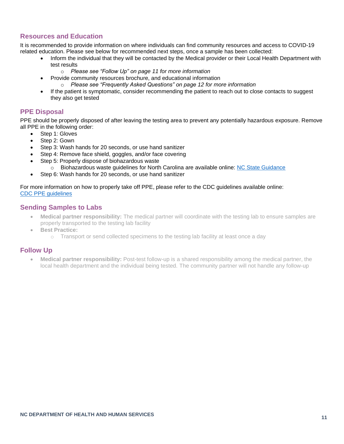#### <span id="page-9-0"></span>**Resources and Education**

It is recommended to provide information on where individuals can find community resources and access to COVID-19 related education. Please see below for recommended next steps, once a sample has been collected:

- Inform the individual that they will be contacted by the Medical provider or their Local Health Department with test results
	- o *Please see "Follow Up" on page 11 for more information*
- Provide community resources brochure, and educational information
	- o *Please see "Frequently Asked Questions" on page 12 for more information*
- If the patient is symptomatic, consider recommending the patient to reach out to close contacts to suggest they also get tested

#### <span id="page-9-1"></span>**PPE Disposal**

PPE should be properly disposed of after leaving the testing area to prevent any potentially hazardous exposure. Remove all PPE in the following order:

- Step 1: Gloves
- Step 2: Gown
- Step 3: Wash hands for 20 seconds, or use hand sanitizer
- Step 4: Remove face shield, goggles, and/or face covering
- Step 5: Properly dispose of biohazardous waste
	- o Biohazardous waste guidelines for North Carolina are available online: [NC State Guidance](https://deq.nc.gov/about/divisions/waste-management/solid-waste-section/medical-waste/medical-waste-guidance-and#treatment-and-disposal)
- Step 6: Wash hands for 20 seconds, or use hand sanitizer

#### For more information on how to properly take off PPE, please refer to the CDC guidelines available online: [CDC PPE guidelines](https://www.cdc.gov/coronavirus/2019-ncov/hcp/using-ppe.html)

#### <span id="page-9-2"></span>**Sending Samples to Labs**

- **Medical partner responsibility:** The medical partner will coordinate with the testing lab to ensure samples are properly transported to the testing lab facility
	- **Best Practice:**
		- $\circ$  Transport or send collected specimens to the testing lab facility at least once a day

#### <span id="page-9-3"></span>**Follow Up**

• **Medical partner responsibility:** Post-test follow-up is a shared responsibility among the medical partner, the local health department and the individual being tested. The community partner will not handle any follow-up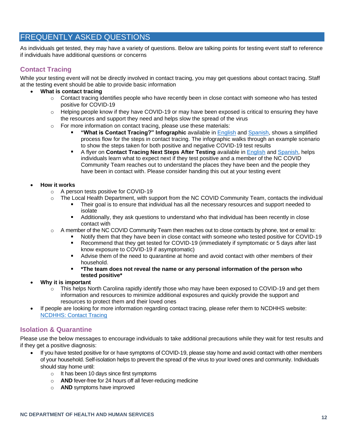#### <span id="page-10-0"></span>FREQUENTLY ASKED QUESTIONS

As individuals get tested, they may have a variety of questions. Below are talking points for testing event staff to reference if individuals have additional questions or concerns

#### <span id="page-10-1"></span>**Contact Tracing**

While your testing event will not be directly involved in contact tracing, you may get questions about contact tracing. Staff at the testing event should be able to provide basic information

#### • **What is contact tracing**

- $\circ$  Contact tracing identifies people who have recently been in close contact with someone who has tested positive for COVID-19
- $\circ$  Helping people know if they have COVID-19 or may have been exposed is critical to ensuring they have the resources and support they need and helps slow the spread of the virus
- o For more information on contact tracing, please use these materials:
	- **"What is Contact Tracing?" Infographic** available in [English](https://files.nc.gov/covid/documents/about/tracing/Contact-Tracing-Infographic.pdf) and [Spanish,](https://files.nc.gov/covid/documents/about/tracing/Contact-Tracing-Infographic-Spanish.pdf) shows a simplified process flow for the steps in contact tracing. The infographic walks through an example scenario to show the steps taken for both positive and negative COVID-19 test results
	- $\mathbf{r}$ A flyer on **Contact Tracing Next Steps After Testing** available in [English](https://files.nc.gov/covid/documents/about/tracing/Contact-Tracing-Next-Steps-After-Testing.pdf) an[d Spanish,](https://files.nc.gov/covid/documents/about/tracing/Contact-Tracing-Next-Steps-After-Testing-Spanish.pdf) helps individuals learn what to expect next if they test positive and a member of the NC COVID Community Team reaches out to understand the places they have been and the people they have been in contact with. Please consider handing this out at your testing event

#### • **How it works**

- o A person tests positive for COVID-19
- o The Local Health Department, with support from the NC COVID Community Team, contacts the individual
	- Their goal is to ensure that individual has all the necessary resources and support needed to isolate
	- Additionally, they ask questions to understand who that individual has been recently in close  $\blacksquare$ contact with
- $\circ$  A member of the NC COVID Community Team then reaches out to close contacts by phone, text or email to:
	- Notify them that they have been in close contact with someone who tested positive for COVID-19
		- $\blacksquare$ Recommend that they get tested for COVID-19 (immediately if symptomatic or 5 days after last know exposure to COVID-19 if asymptomatic)
		- $\mathbf{r}$ Advise them of the need to quarantine at home and avoid contact with other members of their household.
		- **\*The team does not reveal the name or any personal information of the person who tested positive\***
- **Why it is important**
	- $\circ$  This helps North Carolina rapidly identify those who may have been exposed to COVID-19 and get them information and resources to minimize additional exposures and quickly provide the support and resources to protect them and their loved ones
- If people are looking for more information regarding contact tracing, please refer them to NCDHHS website: [NCDHHS: Contact Tracing](https://covid19.ncdhhs.gov/about-covid-19/contact-tracing)

#### <span id="page-10-2"></span>**Isolation & Quarantine**

Please use the below messages to encourage individuals to take additional precautions while they wait for test results and if they get a positive diagnosis:

- If you have tested positive for or have symptoms of COVID-19, please stay home and avoid contact with other members of your household. Self-isolation helps to prevent the spread of the virus to your loved ones and community. Individuals should stay home until:
	- o It has been 10 days since first symptoms
	- o **AND** fever-free for 24 hours off all fever-reducing medicine
	- o **AND** symptoms have improved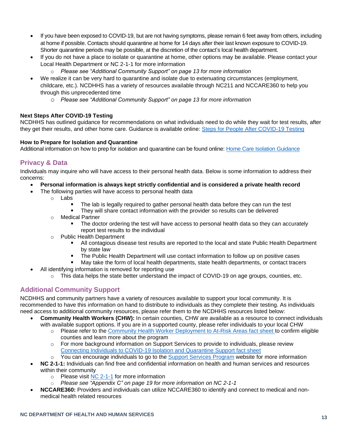- If you have been exposed to COVID-19, but are not having symptoms, please remain 6 feet away from others, including at home if possible. Contacts should quarantine at home for 14 days after their last known exposure to COVID-19. Shorter quarantine periods may be possible, at the discretion of the contact's local health department.
- If you do not have a place to isolate or quarantine at home, other options may be available. Please contact your Local Health Department or NC 2-1-1 for more information
	- o *Please see "Additional Community Support" on page 13 for more information*
- We realize it can be very hard to quarantine and isolate due to extenuating circumstances (employment, childcare, etc.). NCDHHS has a variety of resources available through NC211 and NCCARE360 to help you through this unprecedented time
	- o *Please see "Additional Community Support" on page 13 for more information*

#### **Next Steps After COVID-19 Testing**

NCDHHS has outlined guidance for recommendations on what individuals need to do while they wait for test results, after they get their results, and other home care. Guidance is available online: [Steps for People After COVID-19 Testing](https://files.nc.gov/covid/documents/guidance/healthcare/DPH-COVID19-Home-IQ-Guidelines-and-Directives-Packet.pdf)

#### **How to Prepare for Isolation and Quarantine**

<span id="page-11-0"></span>Additional information on how to prep for isolation and quarantine can be found online[: Home Care Isolation Guidance](https://epi.ncpublichealth.info/cd/coronavirus/Home%20Care%20Isolation%20Guidance_PUI_030820.pdf?ver=1.1)

#### **Privacy & Data**

Individuals may inquire who will have access to their personal health data. Below is some information to address their concerns:

- **Personal information is always kept strictly confidential and is considered a private health record**
	- The following parties will have access to personal health data
		- o Labs
			- The lab is legally required to gather personal health data before they can run the test
			- They will share contact information with the provider so results can be delivered
			- o Medical Partner
				- The doctor ordering the test will have access to personal health data so they can accurately report test results to the individual
			- o Public Health Department
				- All contagious disease test results are reported to the local and state Public Health Department by state law
				- $\blacksquare$ The Public Health Department will use contact information to follow up on positive cases
				- May take the form of local health departments, state health departments, or contact tracers
- All identifying information is removed for reporting use
	- o This data helps the state better understand the impact of COVID-19 on age groups, counties, etc.

#### <span id="page-11-1"></span>**Additional Community Support**

NCDHHS and community partners have a variety of resources available to support your local community. It is recommended to have this information on hand to distribute to individuals as they complete their testing. As individuals need access to additional community resources, please refer them to the NCDHHS resources listed below:

- **Community Health Workers (CHW):** In certain counties, CHW are available as a resource to connect individuals with available support options. If you are in a supported county, please refer individuals to your local CHW
	- o Please refer to the [Community Health Worker Deployment to At-Risk Areas fact sheet](https://files.nc.gov/ncdhhs/NCDHHS-CHW-Fact-Sheet-17NOV2020.pdf) to confirm eligible counties and learn more about the program
	- $\circ$  For more background information on Support Services to provide to individuals, please review [Connecting Individuals to COVID-19 Isolation and Quarantine Support](https://files.nc.gov/covid/documents/info-for/health-care/NCDHHS-Support-Services-Testing-and-Contact-Tracing-Fact-Sheet.pdf) fact sheet
	- $\circ$  You can encourage individuals to go to the [Support Services Program](https://covid19.ncdhhs.gov/information/human-services/support-services-program) website for more information
- **NC 2-1-1:** Individuals can find free and confidential information on health and human services and resources within their community
	- $\circ$  Please visit [NC 2-1-1](https://www.nc211.org/coronavirus-covid-19) for more information
	- o *Please see "Appendix C" on page 19 for more information on NC 2-1-1*
- **NCCARE360:** Providers and individuals can utilize NCCARE360 to identify and connect to medical and nonmedical health related resources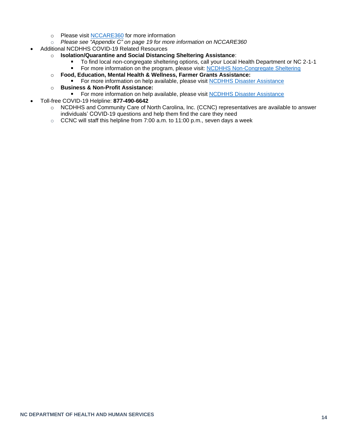- o Please visit [NCCARE360](https://nccare360.org/) for more information
- o *Please see "Appendix C" on page 19 for more information on NCCARE360*
- Additional NCDHHS COVID-19 Related Resources
	- o **Isolation/Quarantine and Social Distancing Sheltering Assistance**:
		- To find local non-congregate sheltering options, call your Local Health Department or NC 2-1-1
		- For more information on the program, please visit: [NCDHHS Non-Congregate Sheltering](https://covid19.ncdhhs.gov/information/housing-sheltering/non-congregate-sheltering) .
	- o **Food, Education, Mental Health & Wellness, Farmer Grants Assistance:**
		- For more information on help available, please visit [NCDHHS Disaster Assistance](https://www.nc.gov/agencies/volunteer/disaster-assistance-covid-19#individuals)  $\blacksquare$
	- o **Business & Non-Profit Assistance:**
		- For more information on help available, please visit [NCDHHS Disaster Assistance](https://www.nc.gov/agencies/volunteer/disaster-assistance-covid-19#businesses---nonprofits)  $\blacksquare$
- <span id="page-12-0"></span>• Toll-free COVID-19 Helpline: **877-490-6642**
	- o NCDHHS and Community Care of North Carolina, Inc. (CCNC) representatives are available to answer individuals' COVID-19 questions and help them find the care they need
	- o CCNC will staff this helpline from 7:00 a.m. to 11:00 p.m., seven days a week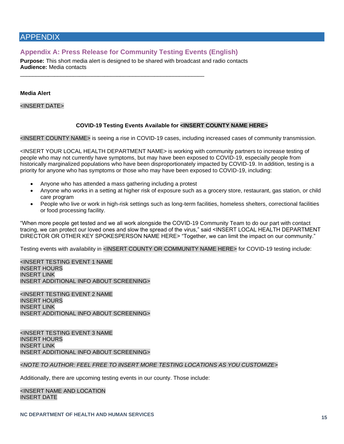#### APPENDIX

#### <span id="page-13-0"></span>**Appendix A: Press Release for Community Testing Events (English)**

\_\_\_\_\_\_\_\_\_\_\_\_\_\_\_\_\_\_\_\_\_\_\_\_\_\_\_\_\_\_\_\_\_\_\_\_\_\_\_\_\_\_\_\_\_\_\_\_\_\_\_\_\_\_\_\_\_\_\_

**Purpose:** This short media alert is designed to be shared with broadcast and radio contacts **Audience:** Media contacts

#### **Media Alert**

<INSERT DATE>

#### **COVID-19 Testing Events Available for <INSERT COUNTY NAME HERE>**

<INSERT COUNTY NAME> is seeing a rise in COVID-19 cases, including increased cases of community transmission.

<INSERT YOUR LOCAL HEALTH DEPARTMENT NAME> is working with community partners to increase testing of people who may not currently have symptoms, but may have been exposed to COVID-19, especially people from historically marginalized populations who have been disproportionately impacted by COVID-19. In addition, testing is a priority for anyone who has symptoms or those who may have been exposed to COVID-19, including:

- Anyone who has attended a mass gathering including a protest
- Anyone who works in a setting at higher risk of exposure such as a grocery store, restaurant, gas station, or child care program
- People who live or work in high-risk settings such as long-term facilities, homeless shelters, correctional facilities or food processing facility.

"When more people get tested and we all work alongside the COVID-19 Community Team to do our part with contact tracing, we can protect our loved ones and slow the spread of the virus," said <INSERT LOCAL HEALTH DEPARTMENT DIRECTOR OR OTHER KEY SPOKESPERSON NAME HERE> "Together, we can limit the impact on our community."

Testing events with availability in <INSERT COUNTY OR COMMUNITY NAME HERE> for COVID-19 testing include:

<INSERT TESTING EVENT 1 NAME INSERT HOURS INSERT LINK INSERT ADDITIONAL INFO ABOUT SCREENING>

<INSERT TESTING EVENT 2 NAME INSERT HOURS INSERT LINK INSERT ADDITIONAL INFO ABOUT SCREENING>

<INSERT TESTING EVENT 3 NAME INSERT HOURS INSERT LINK INSERT ADDITIONAL INFO ABOUT SCREENING>

#### *<NOTE TO AUTHOR: FEEL FREE TO INSERT MORE TESTING LOCATIONS AS YOU CUSTOMIZE>*

Additionally, there are upcoming testing events in our county. Those include:

<INSERT NAME AND LOCATION INSERT DATE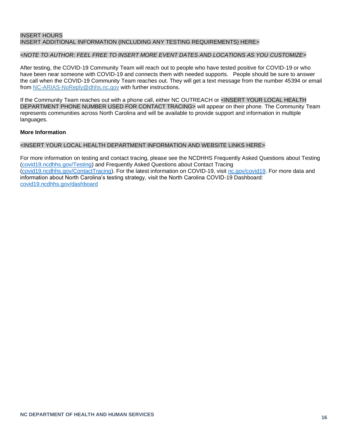#### INSERT HOURS INSERT ADDITIONAL INFORMATION (INCLUDING ANY TESTING REQUIREMENTS) HERE>

#### *<NOTE TO AUTHOR: FEEL FREE TO INSERT MORE EVENT DATES AND LOCATIONS AS YOU CUSTOMIZE>*

After testing, the COVID-19 Community Team will reach out to people who have tested positive for COVID-19 or who have been near someone with COVID-19 and connects them with needed supports. People should be sure to answer the call when the COVID-19 Community Team reaches out. They will get a text message from the number 45394 or email from NC-ARIAS-NoReply@dhhs.nc.gov with further instructions.

If the Community Team reaches out with a phone call, either NC OUTREACH or <INSERT YOUR LOCAL HEALTH DEPARTMENT PHONE NUMBER USED FOR CONTACT TRACING> will appear on their phone. The Community Team represents communities across North Carolina and will be available to provide support and information in multiple languages.

#### **More Information**

#### <INSERT YOUR LOCAL HEALTH DEPARTMENT INFORMATION AND WEBSITE LINKS HERE>

For more information on testing and contact tracing, please see the NCDHHS Frequently Asked Questions about Testing (covid19.ncdhhs.gov/Testing) and Frequently Asked Questions about Contact Tracing (covid19.ncdhhs.gov/ContactTracing). For the latest information on COVID-19, visit nc.gov/covid19. For more data and information about North Carolina's testing strategy, visit the North Carolina COVID-19 Dashboard: covid19.ncdhhs.gov/dashboard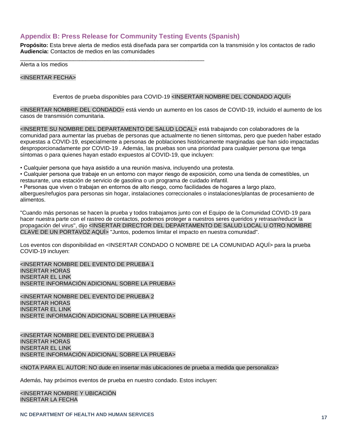#### <span id="page-15-0"></span>**Appendix B: Press Release for Community Testing Events (Spanish)**

\_\_\_\_\_\_\_\_\_\_\_\_\_\_\_\_\_\_\_\_\_\_\_\_\_\_\_\_\_\_\_\_\_\_\_\_\_\_\_\_\_\_\_\_\_\_\_\_\_\_\_\_\_\_\_\_\_\_\_

**Propósito:** Esta breve alerta de medios está diseñada para ser compartida con la transmisión y los contactos de radio **Audiencia:** Contactos de medios en las comunidades

Alerta a los medios

<INSERTAR FECHA>

Eventos de prueba disponibles para COVID-19 <INSERTAR NOMBRE DEL CONDADO AQUÍ>

<INSERTAR NOMBRE DEL CONDADO> está viendo un aumento en los casos de COVID-19, incluido el aumento de los casos de transmisión comunitaria.

<INSERTE SU NOMBRE DEL DEPARTAMENTO DE SALUD LOCAL> está trabajando con colaboradores de la comunidad para aumentar las pruebas de personas que actualmente no tienen síntomas, pero que pueden haber estado expuestas a COVID-19, especialmente a personas de poblaciones históricamente marginadas que han sido impactadas desproporcionadamente por COVID-19 . Además, las pruebas son una prioridad para cualquier persona que tenga síntomas o para quienes hayan estado expuestos al COVID-19, que incluyen:

• Cualquier persona que haya asistido a una reunión masiva, incluyendo una protesta.

• Cualquier persona que trabaje en un entorno con mayor riesgo de exposición, como una tienda de comestibles, un restaurante, una estación de servicio de gasolina o un programa de cuidado infantil.

• Personas que viven o trabajan en entornos de alto riesgo, como facilidades de hogares a largo plazo,

albergues/refugios para personas sin hogar, instalaciones correccionales o instalaciones/plantas de procesamiento de alimentos.

"Cuando más personas se hacen la prueba y todos trabajamos junto con el Equipo de la Comunidad COVID-19 para hacer nuestra parte con el rastreo de contactos, podemos proteger a nuestros seres queridos y retrasar/reducir la propagación del virus", dijo <INSERTAR DIRECTOR DEL DEPARTAMENTO DE SALUD LOCAL U OTRO NOMBRE CLAVE DE UN PORTAVOZ AQUÍ> "Juntos, podemos limitar el impacto en nuestra comunidad".

Los eventos con disponibilidad en <INSERTAR CONDADO O NOMBRE DE LA COMUNIDAD AQUÍ> para la prueba COVID-19 incluyen:

<INSERTAR NOMBRE DEL EVENTO DE PRUEBA 1 INSERTAR HORAS INSERTAR EL LINK INSERTE INFORMACIÓN ADICIONAL SOBRE LA PRUEBA>

<INSERTAR NOMBRE DEL EVENTO DE PRUEBA 2 INSERTAR HORAS INSERTAR EL LINK INSERTE INFORMACIÓN ADICIONAL SOBRE LA PRUEBA>

<INSERTAR NOMBRE DEL EVENTO DE PRUEBA 3 INSERTAR HORAS INSERTAR EL LINK INSERTE INFORMACIÓN ADICIONAL SOBRE LA PRUEBA>

<NOTA PARA EL AUTOR: NO dude en insertar más ubicaciones de prueba a medida que personaliza>

Además, hay próximos eventos de prueba en nuestro condado. Estos incluyen:

<INSERTAR NOMBRE Y UBICACIÓN INSERTAR LA FECHA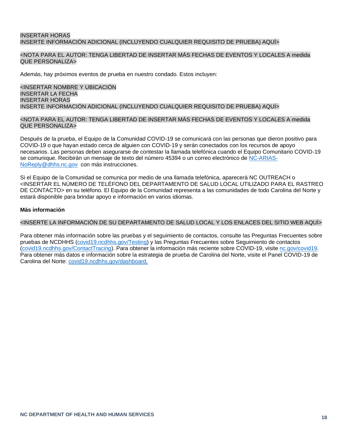#### INSERTAR HORAS INSERTE INFORMACIÓN ADICIONAL (INCLUYENDO CUALQUIER REQUISITO DE PRUEBA) AQUÍ>

#### <NOTA PARA EL AUTOR: TENGA LIBERTAD DE INSERTAR MÁS FECHAS DE EVENTOS Y LOCALES A medida QUE PERSONALIZA>

Además, hay próximos eventos de prueba en nuestro condado. Estos incluyen:

#### <INSERTAR NOMBRE Y UBICACIÓN INSERTAR LA FECHA INSERTAR HORAS INSERTE INFORMACIÓN ADICIONAL (INCLUYENDO CUALQUIER REQUISITO DE PRUEBA) AQUÍ>

#### <NOTA PARA EL AUTOR: TENGA LIBERTAD DE INSERTAR MÁS FECHAS DE EVENTOS Y LOCALES A medida QUE PERSONALIZA>

Después de la prueba, el Equipo de la Comunidad COVID-19 se comunicará con las personas que dieron positivo para COVID-19 o que hayan estado cerca de alguien con COVID-19 y serán conectados con los recursos de apoyo necesarios. Las personas deben asegurarse de contestar la llamada telefónica cuando el Equipo Comunitario COVID-19 se comunique. Recibirán un mensaje de texto del número 45394 o un correo electrónico de [NC-ARIAS-](mailto:NC-ARIAS-NoReply@dhhs.nc.gov)[NoReply@dhhs.nc.gov](mailto:NC-ARIAS-NoReply@dhhs.nc.gov) con más instrucciones.

Si el Equipo de la Comunidad se comunica por medio de una llamada telefónica, aparecerá NC OUTREACH o <INSERTAR EL NÚMERO DE TELÉFONO DEL DEPARTAMENTO DE SALUD LOCAL UTILIZADO PARA EL RASTREO DE CONTACTO> en su teléfono. El Equipo de la Comunidad representa a las comunidades de todo Carolina del Norte y estará disponible para brindar apoyo e información en varios idiomas.

#### **Más información**

#### <INSERTE LA INFORMACIÓN DE SU DEPARTAMENTO DE SALUD LOCAL Y LOS ENLACES DEL SITIO WEB AQUÍ>

Para obtener más información sobre las pruebas y el seguimiento de contactos, consulte las Preguntas Frecuentes sobre pruebas de NCDHHS (covid19.ncdhhs.gov/Testing) y las Preguntas Frecuentes sobre Seguimiento de contactos (covid19.ncdhhs.gov/ContactTracing). Para obtener la información más reciente sobre COVID-19, visite nc.gov/covid19. Para obtener más datos e información sobre la estrategia de prueba de Carolina del Norte, visite el Panel COVID-19 de Carolina del Norte: covid19.ncdhhs.gov/dashboard.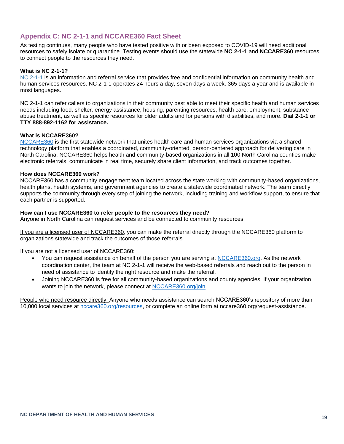#### <span id="page-17-0"></span>**Appendix C: NC 2-1-1 and NCCARE360 Fact Sheet**

As testing continues, many people who have tested positive with or been exposed to COVID-19 will need additional resources to safely isolate or quarantine. Testing events should use the statewide **NC 2-1-1** and **NCCARE360** resources to connect people to the resources they need.

#### **What is NC 2-1-1?**

[NC 2-1-1](https://urldefense.com/v3/__https:/click.icptrack.com/icp/relay.php?r=39314931&msgid=474884&act=4IE0&c=1346310&destination=https*3A*2F*2Fwww.nc211.org*2F__;JSUlJQ!!HYmSToo!KyvU0CethpQQ-xb0qAmhkw0x2wNRUCDLi-fDUbRidd6EdHOmkqMFruvIgfKp6HA9pcoiYQ$) is an information and referral service that provides free and confidential information on community health and human services resources. NC 2-1-1 operates 24 hours a day, seven days a week, 365 days a year and is available in most languages.

NC 2-1-1 can refer callers to organizations in their community best able to meet their specific health and human services needs including food, shelter, energy assistance, housing, parenting resources, health care, employment, substance abuse treatment, as well as specific resources for older adults and for persons with disabilities, and more. **Dial 2-1-1 or TTY 888-892-1162 for assistance.**

#### **What is NCCARE360?**

[NCCARE360](https://nccare360.org/request-assistance/) is the first statewide network that unites health care and human services organizations via a shared technology platform that enables a coordinated, community-oriented, person-centered approach for delivering care in North Carolina. NCCARE360 helps health and community-based organizations in all 100 North Carolina counties make electronic referrals, communicate in real time, securely share client information, and track outcomes together.

#### **How does NCCARE360 work?**

NCCARE360 has a community engagement team located across the state working with community-based organizations, health plans, health systems, and government agencies to create a statewide coordinated network. The team directly supports the community through every step of joining the network, including training and workflow support, to ensure that each partner is supported.

#### **How can I use NCCARE360 to refer people to the resources they need?**

Anyone in North Carolina can request services and be connected to community resources.

If you are a licensed user of NCCARE360, you can make the referral directly through the NCCARE360 platform to organizations statewide and track the outcomes of those referrals.

#### If you are not a licensed user of NCCARE360:

- You can request assistance on behalf of the person you are serving at [NCCARE360.org.](https://nccare360.org/request-assistance/) As the network coordination center, the team at NC 2-1-1 will receive the web-based referrals and reach out to the person in need of assistance to identify the right resource and make the referral.
- Joining NCCARE360 is free for all community-based organizations and county agencies! If your organization wants to join the network, please connect at [NCCARE360.org/join.](https://nccare360.org/join/)

People who need resource directly: Anyone who needs assistance can search NCCARE360's repository of more than 10,000 local services at [nccare360.org/resources,](http://nccare360.org/resources) or complete an online form at nccare360.org/request-assistance.